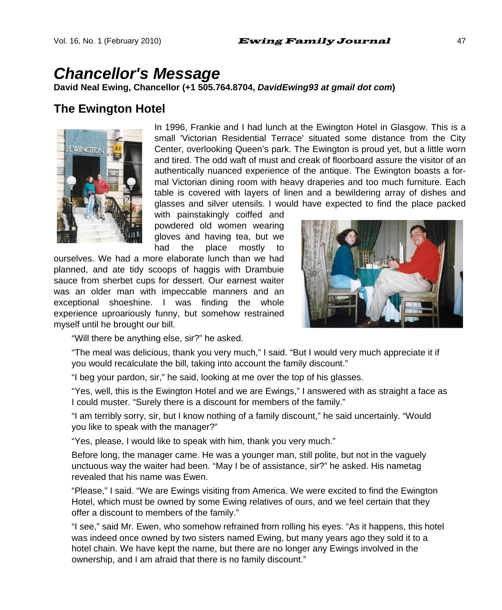# *Chancellor's Message*

**David Neal Ewing, Chancellor (+1 505.764.8704,** *DavidEwing93 at gmail dot com***)** 

#### **The Ewington Hotel**



In 1996, Frankie and I had lunch at the Ewington Hotel in Glasgow. This is a small 'Victorian Residential Terrace' situated some distance from the City Center, overlooking Queen's park. The Ewington is proud yet, but a little worn and tired. The odd waft of must and creak of floorboard assure the visitor of an authentically nuanced experience of the antique. The Ewington boasts a formal Victorian dining room with heavy draperies and too much furniture. Each table is covered with layers of linen and a bewildering array of dishes and glasses and silver utensils. I would have expected to find the place packed

with painstakingly coiffed and powdered old women wearing gloves and having tea, but we had the place mostly to

ourselves. We had a more elaborate lunch than we had planned, and ate tidy scoops of haggis with Drambuie sauce from sherbet cups for dessert. Our earnest waiter was an older man with impeccable manners and an exceptional shoeshine. I was finding the whole experience uproariously funny, but somehow restrained myself until he brought our bill.



"Will there be anything else, sir?" he asked.

"The meal was delicious, thank you very much," I said. "But I would very much appreciate it if you would recalculate the bill, taking into account the family discount."

"I beg your pardon, sir," he said, looking at me over the top of his glasses.

"Yes, well, this is the Ewington Hotel and we are Ewings," I answered with as straight a face as I could muster. "Surely there is a discount for members of the family."

"I am terribly sorry, sir, but I know nothing of a family discount," he said uncertainly. "Would you like to speak with the manager?"

"Yes, please, I would like to speak with him, thank you very much."

Before long, the manager came. He was a younger man, still polite, but not in the vaguely unctuous way the waiter had been. "May I be of assistance, sir?" he asked. His nametag revealed that his name was Ewen.

"Please," I said. "We are Ewings visiting from America. We were excited to find the Ewington Hotel, which must be owned by some Ewing relatives of ours, and we feel certain that they offer a discount to members of the family."

"I see," said Mr. Ewen, who somehow refrained from rolling his eyes. "As it happens, this hotel was indeed once owned by two sisters named Ewing, but many years ago they sold it to a hotel chain. We have kept the name, but there are no longer any Ewings involved in the ownership, and I am afraid that there is no family discount."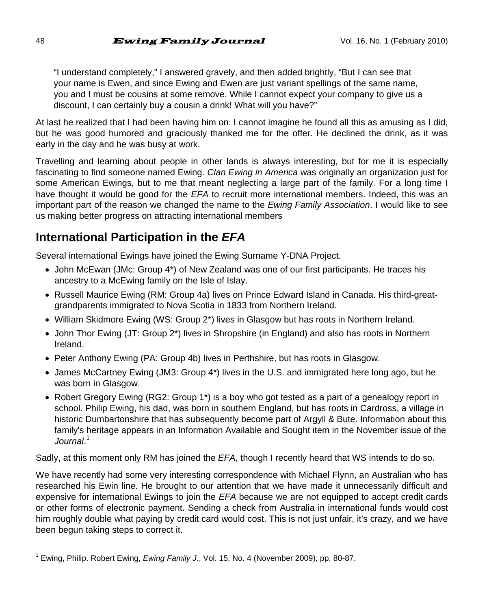"I understand completely," I answered gravely, and then added brightly, "But I can see that your name is Ewen, and since Ewing and Ewen are just variant spellings of the same name, you and I must be cousins at some remove. While I cannot expect your company to give us a discount, I can certainly buy a cousin a drink! What will you have?"

At last he realized that I had been having him on. I cannot imagine he found all this as amusing as I did, but he was good humored and graciously thanked me for the offer. He declined the drink, as it was early in the day and he was busy at work.

Travelling and learning about people in other lands is always interesting, but for me it is especially fascinating to find someone named Ewing. *Clan Ewing in America* was originally an organization just for some American Ewings, but to me that meant neglecting a large part of the family. For a long time I have thought it would be good for the *EFA* to recruit more international members. Indeed, this was an important part of the reason we changed the name to the *Ewing Family Association*. I would like to see us making better progress on attracting international members

## **International Participation in the** *EFA*

Several international Ewings have joined the Ewing Surname Y-DNA Project.

- John McEwan (JMc: Group 4\*) of New Zealand was one of our first participants. He traces his ancestry to a McEwing family on the Isle of Islay.
- Russell Maurice Ewing (RM: Group 4a) lives on Prince Edward Island in Canada. His third-greatgrandparents immigrated to Nova Scotia in 1833 from Northern Ireland.
- William Skidmore Ewing (WS: Group 2\*) lives in Glasgow but has roots in Northern Ireland.
- John Thor Ewing (JT: Group 2\*) lives in Shropshire (in England) and also has roots in Northern Ireland.
- Peter Anthony Ewing (PA: Group 4b) lives in Perthshire, but has roots in Glasgow.
- James McCartney Ewing (JM3: Group 4\*) lives in the U.S. and immigrated here long ago, but he was born in Glasgow.
- Robert Gregory Ewing (RG2: Group 1\*) is a boy who got tested as a part of a genealogy report in school. Philip Ewing, his dad, was born in southern England, but has roots in Cardross, a village in historic Dumbartonshire that has subsequently become part of Argyll & Bute. Information about this family's heritage appears in an Information Available and Sought item in the November issue of the *Journal*. 1

Sadly, at this moment only RM has joined the *EFA*, though I recently heard that WS intends to do so.

We have recently had some very interesting correspondence with Michael Flynn, an Australian who has researched his Ewin line. He brought to our attention that we have made it unnecessarily difficult and expensive for international Ewings to join the *EFA* because we are not equipped to accept credit cards or other forms of electronic payment. Sending a check from Australia in international funds would cost him roughly double what paying by credit card would cost. This is not just unfair, it's crazy, and we have been begun taking steps to correct it.

l

<sup>&</sup>lt;sup>1</sup> Ewing, Philip. Robert Ewing, *Ewing Family J.*, Vol. 15, No. 4 (November 2009), pp. 80-87.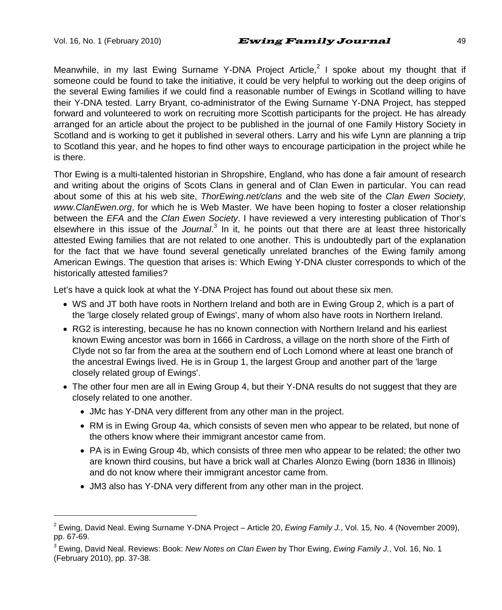l

Meanwhile, in my last Ewing Surname Y-DNA Project Article,<sup>2</sup> I spoke about my thought that if someone could be found to take the initiative, it could be very helpful to working out the deep origins of the several Ewing families if we could find a reasonable number of Ewings in Scotland willing to have their Y-DNA tested. Larry Bryant, co-administrator of the Ewing Surname Y-DNA Project, has stepped forward and volunteered to work on recruiting more Scottish participants for the project. He has already arranged for an article about the project to be published in the journal of one Family History Society in Scotland and is working to get it published in several others. Larry and his wife Lynn are planning a trip to Scotland this year, and he hopes to find other ways to encourage participation in the project while he is there.

Thor Ewing is a multi-talented historian in Shropshire, England, who has done a fair amount of research and writing about the origins of Scots Clans in general and of Clan Ewen in particular. You can read about some of this at his web site, *ThorEwing.net/clans* and the web site of the *Clan Ewen Society*, *www.ClanEwen.org*, for which he is Web Master. We have been hoping to foster a closer relationship between the *EFA* and the *Clan Ewen Society*. I have reviewed a very interesting publication of Thor's elsewhere in this issue of the *Journal.*<sup>3</sup> In it, he points out that there are at least three historically attested Ewing families that are not related to one another. This is undoubtedly part of the explanation for the fact that we have found several genetically unrelated branches of the Ewing family among American Ewings. The question that arises is: Which Ewing Y-DNA cluster corresponds to which of the historically attested families?

Let's have a quick look at what the Y-DNA Project has found out about these six men.

- WS and JT both have roots in Northern Ireland and both are in Ewing Group 2, which is a part of the 'large closely related group of Ewings', many of whom also have roots in Northern Ireland.
- RG2 is interesting, because he has no known connection with Northern Ireland and his earliest known Ewing ancestor was born in 1666 in Cardross, a village on the north shore of the Firth of Clyde not so far from the area at the southern end of Loch Lomond where at least one branch of the ancestral Ewings lived. He is in Group 1, the largest Group and another part of the 'large closely related group of Ewings'.
- The other four men are all in Ewing Group 4, but their Y-DNA results do not suggest that they are closely related to one another.
	- JMc has Y-DNA very different from any other man in the project.
	- RM is in Ewing Group 4a, which consists of seven men who appear to be related, but none of the others know where their immigrant ancestor came from.
	- PA is in Ewing Group 4b, which consists of three men who appear to be related; the other two are known third cousins, but have a brick wall at Charles Alonzo Ewing (born 1836 in Illinois) and do not know where their immigrant ancestor came from.
	- JM3 also has Y-DNA very different from any other man in the project.

<sup>2</sup> Ewing, David Neal. Ewing Surname Y-DNA Project – Article 20, *Ewing Family J.*, Vol. 15, No. 4 (November 2009), pp. 67-69.

<sup>3</sup> Ewing, David Neal. Reviews: Book: *New Notes on Clan Ewen* by Thor Ewing, *Ewing Family J.*, Vol. 16, No. 1 (February 2010), pp. 37-38.